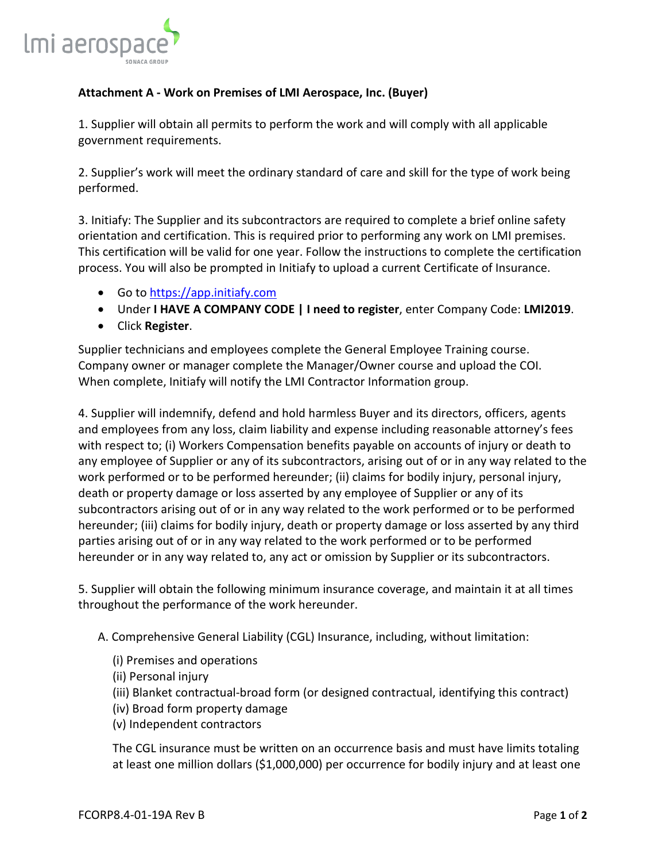

## **Attachment A - Work on Premises of LMI Aerospace, Inc. (Buyer)**

1. Supplier will obtain all permits to perform the work and will comply with all applicable government requirements.

2. Supplier's work will meet the ordinary standard of care and skill for the type of work being performed.

3. Initiafy: The Supplier and its subcontractors are required to complete a brief online safety orientation and certification. This is required prior to performing any work on LMI premises. This certification will be valid for one year. Follow the instructions to complete the certification process. You will also be prompted in Initiafy to upload a current Certificate of Insurance.

- Go t[o https://app.initiafy.com](https://nam03.safelinks.protection.outlook.com/?url=https%3A%2F%2Fapp.initiafy.com&data=02%7C01%7Cmhodapp%40LMIAEROSPACE.COM%7C0a32f6e6372b41e8d20708d7106cbdc8%7C2fa6e7d2607f4981b754ce1a4519ffe0%7C0%7C0%7C636995931562968855&sdata=qUJSCh5BxS6Wgfvk81aw%2B6VcLySD%2BPCAjfPG5n%2Bx7%2Bk%3D&reserved=0)
- Under **I HAVE A COMPANY CODE | I need to register**, enter Company Code: **LMI2019**.
- Click **Register**.

Supplier technicians and employees complete the General Employee Training course. Company owner or manager complete the Manager/Owner course and upload the COI. When complete, Initiafy will notify the LMI Contractor Information group.

4. Supplier will indemnify, defend and hold harmless Buyer and its directors, officers, agents and employees from any loss, claim liability and expense including reasonable attorney's fees with respect to; (i) Workers Compensation benefits payable on accounts of injury or death to any employee of Supplier or any of its subcontractors, arising out of or in any way related to the work performed or to be performed hereunder; (ii) claims for bodily injury, personal injury, death or property damage or loss asserted by any employee of Supplier or any of its subcontractors arising out of or in any way related to the work performed or to be performed hereunder; (iii) claims for bodily injury, death or property damage or loss asserted by any third parties arising out of or in any way related to the work performed or to be performed hereunder or in any way related to, any act or omission by Supplier or its subcontractors.

5. Supplier will obtain the following minimum insurance coverage, and maintain it at all times throughout the performance of the work hereunder.

A. Comprehensive General Liability (CGL) Insurance, including, without limitation:

- (i) Premises and operations
- (ii) Personal injury
- (iii) Blanket contractual-broad form (or designed contractual, identifying this contract)
- (iv) Broad form property damage
- (v) Independent contractors

The CGL insurance must be written on an occurrence basis and must have limits totaling at least one million dollars (\$1,000,000) per occurrence for bodily injury and at least one